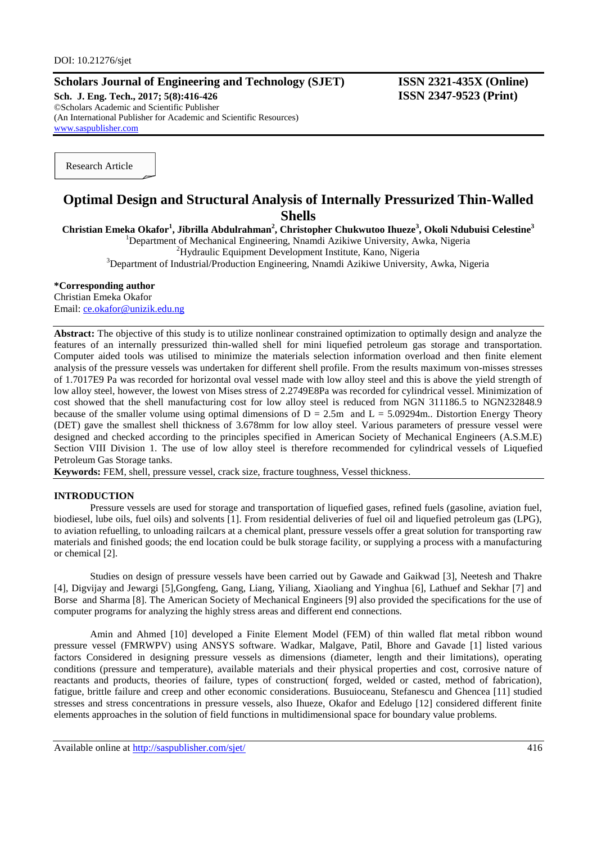# **Scholars Journal of Engineering and Technology (SJET) ISSN 2321-435X (Online)**

**Sch. J. Eng. Tech., 2017; 5(8):416-426 ISSN 2347-9523 (Print)** ©Scholars Academic and Scientific Publisher (An International Publisher for Academic and Scientific Resources) [www.saspublisher.com](http://www.saspublisher.com/)

Research Article

# **Optimal Design and Structural Analysis of Internally Pressurized Thin-Walled Shells**

**Christian Emeka Okafor<sup>1</sup> , Jibrilla Abdulrahman<sup>2</sup> , Christopher Chukwutoo Ihueze<sup>3</sup> , Okoli Ndubuisi Celestine<sup>3</sup>** <sup>1</sup>Department of Mechanical Engineering, Nnamdi Azikiwe University, Awka, Nigeria

<sup>2</sup>Hydraulic Equipment Development Institute, Kano, Nigeria

<sup>3</sup>Department of Industrial/Production Engineering, Nnamdi Azikiwe University, Awka, Nigeria

# **\*Corresponding author**

Christian Emeka Okafor Email: [ce.okafor@unizik.edu.ng](mailto:ce.okafor@unizik.edu.ng)

**Abstract:** The objective of this study is to utilize nonlinear constrained optimization to optimally design and analyze the features of an internally pressurized thin-walled shell for mini liquefied petroleum gas storage and transportation. Computer aided tools was utilised to minimize the materials selection information overload and then finite element analysis of the pressure vessels was undertaken for different shell profile. From the results maximum von-misses stresses of 1.7017E9 Pa was recorded for horizontal oval vessel made with low alloy steel and this is above the yield strength of low alloy steel, however, the lowest von Mises stress of 2.2749E8Pa was recorded for cylindrical vessel. Minimization of cost showed that the shell manufacturing cost for low alloy steel is reduced from NGN 311186.5 to NGN232848.9 because of the smaller volume using optimal dimensions of  $D = 2.5m$  and  $L = 5.09294m$ . Distortion Energy Theory (DET) gave the smallest shell thickness of 3.678mm for low alloy steel. Various parameters of pressure vessel were designed and checked according to the principles specified in American Society of Mechanical Engineers (A.S.M.E) Section VIII Division 1. The use of low alloy steel is therefore recommended for cylindrical vessels of Liquefied Petroleum Gas Storage tanks.

**Keywords:** FEM, shell, pressure vessel, crack size, fracture toughness, Vessel thickness.

#### **INTRODUCTION**

Pressure vessels are used for storage and transportation of liquefied gases, refined fuels (gasoline, aviation fuel, biodiesel, lube oils, fuel oils) and solvents [1]. From residential deliveries of fuel oil and liquefied petroleum gas (LPG), to aviation refuelling, to unloading railcars at a chemical plant, pressure vessels offer a great solution for transporting raw materials and finished goods; the end location could be bulk storage facility, or supplying a process with a manufacturing or chemical [2].

Studies on design of pressure vessels have been carried out by Gawade and Gaikwad [3], Neetesh and Thakre [4], Digvijay and Jewargi [5],Gongfeng, Gang, Liang, Yiliang, Xiaoliang and Yinghua [6], Lathuef and Sekhar [7] and Borse and Sharma [8]. The American Society of Mechanical Engineers [9] also provided the specifications for the use of computer programs for analyzing the highly stress areas and different end connections.

Amin and Ahmed [10] developed a Finite Element Model (FEM) of thin walled flat metal ribbon wound pressure vessel (FMRWPV) using ANSYS software. Wadkar, Malgave, Patil, Bhore and Gavade [1] listed various factors Considered in designing pressure vessels as dimensions (diameter, length and their limitations), operating conditions (pressure and temperature), available materials and their physical properties and cost, corrosive nature of reactants and products, theories of failure, types of construction( forged, welded or casted, method of fabrication), fatigue, brittle failure and creep and other economic considerations. Busuioceanu, Stefanescu and Ghencea [11] studied stresses and stress concentrations in pressure vessels, also Ihueze, Okafor and Edelugo [12] considered different finite elements approaches in the solution of field functions in multidimensional space for boundary value problems.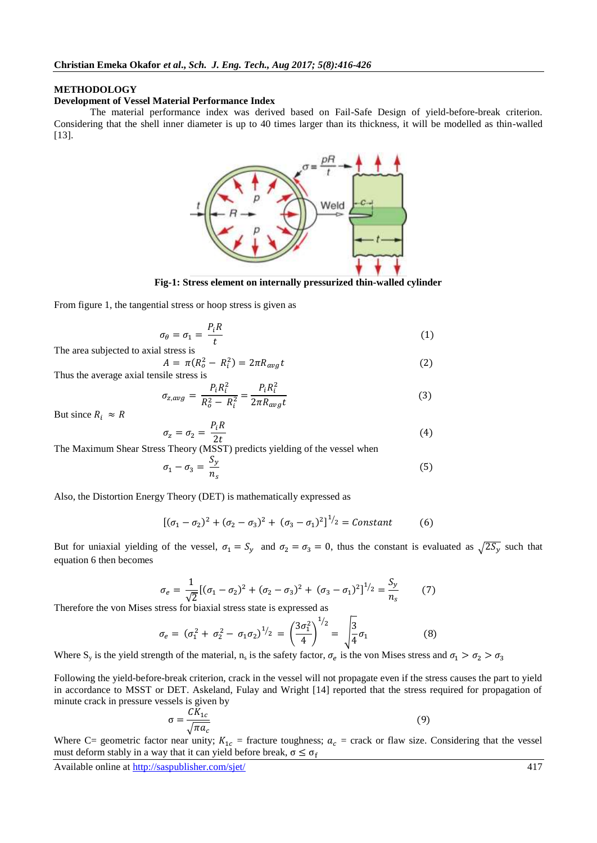#### **METHODOLOGY**

#### **Development of Vessel Material Performance Index**

The material performance index was derived based on Fail-Safe Design of yield-before-break criterion. Considering that the shell inner diameter is up to 40 times larger than its thickness, it will be modelled as thin-walled [13].



**Fig-1: Stress element on internally pressurized thin-walled cylinder**

From figure 1, the tangential stress or hoop stress is given as

 $\sigma$ 

$$
\theta_{\theta} = \sigma_1 = \frac{P_i R}{t} \tag{1}
$$

The area subjected to axial stress is

$$
A = \pi (R_o^2 - R_i^2) = 2\pi R_{avg} t \tag{2}
$$

Thus the average axial tensile stress is

$$
\sigma_{z,avg} = \frac{P_i R_i^2}{R_o^2 - R_i^2} = \frac{P_i R_i^2}{2\pi R_{avg} t}
$$
\n(3)

But since  $R_i \approx R$ 

$$
\sigma_z = \sigma_2 = \frac{P_i R}{2t} \tag{4}
$$

The Maximum Shear Stress Theory (MSST) predicts yielding of the vessel when

$$
\sigma_1 - \sigma_3 = \frac{S_y}{n_s} \tag{5}
$$

Also, the Distortion Energy Theory (DET) is mathematically expressed as

$$
[(\sigma_1 - \sigma_2)^2 + (\sigma_2 - \sigma_3)^2 + (\sigma_3 - \sigma_1)^2]^{1/2} = \text{Constant} \tag{6}
$$

But for uniaxial yielding of the vessel,  $\sigma_1 = S_y$  and  $\sigma_2 = \sigma_3 = 0$ , thus the constant is evaluated as  $\sqrt{2S_y}$  such that equation 6 then becomes

$$
\sigma_e = \frac{1}{\sqrt{2}} [(\sigma_1 - \sigma_2)^2 + (\sigma_2 - \sigma_3)^2 + (\sigma_3 - \sigma_1)^2]^{1/2} = \frac{S_y}{n_s}
$$
 (7)

Therefore the von Mises stress for biaxial stress state is expressed as

$$
\sigma_e = (\sigma_1^2 + \sigma_2^2 - \sigma_1 \sigma_2)^{1/2} = \left(\frac{3\sigma_1^2}{4}\right)^{1/2} = \sqrt{\frac{3}{4}}\sigma_1 \tag{8}
$$

Where S<sub>y</sub> is the yield strength of the material,  $n_s$  is the safety factor,  $\sigma_e$  is the von Mises stress and

Following the yield-before-break criterion, crack in the vessel will not propagate even if the stress causes the part to yield in accordance to MSST or DET. Askeland, Fulay and Wright [14] reported that the stress required for propagation of minute crack in pressure vessels is given by

$$
\sigma = \frac{CK_{1c}}{\sqrt{\pi a_c}}\tag{9}
$$

Where C= geometric factor near unity;  $K_{1c}$  = fracture toughness;  $a_c$  = crack or flaw size. Considering that the vessel must deform stably in a way that it can yield before break,  $\sigma \leq \sigma_f$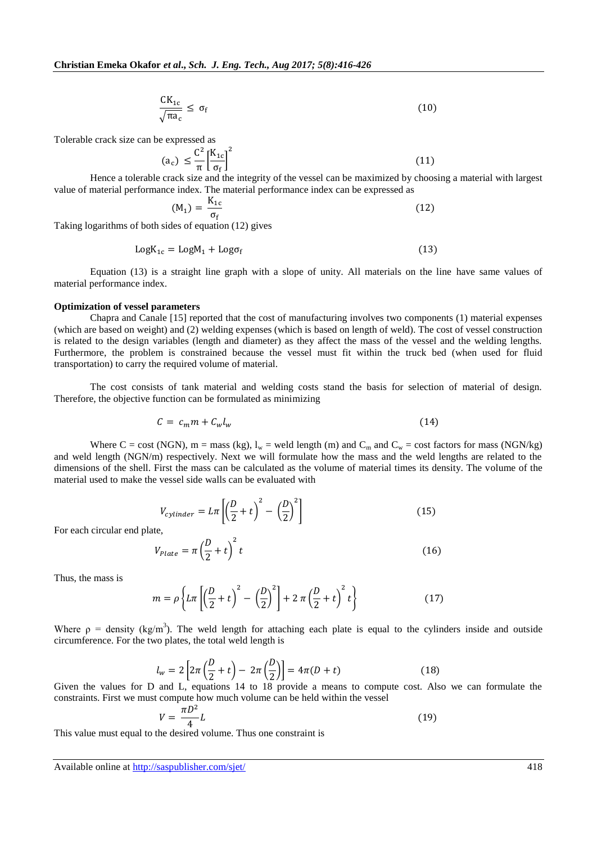$$
\frac{CK_{1c}}{\sqrt{\pi a_c}} \le \sigma_f \tag{10}
$$

Tolerable crack size can be expressed as

$$
\left(a_{c}\right) \leq \frac{C^{2}}{\pi} \left[\frac{K_{1c}}{\sigma_{f}}\right]^{2} \tag{11}
$$

Hence a tolerable crack size and the integrity of the vessel can be maximized by choosing a material with largest value of material performance index. The material performance index can be expressed as

$$
(M_1) = \frac{K_{1c}}{\sigma_f} \tag{12}
$$

Taking logarithms of both sides of equation (12) gives

$$
LogK_{1c} = LogM_1 + Log\sigma_f \tag{13}
$$

Equation (13) is a straight line graph with a slope of unity. All materials on the line have same values of material performance index.

## **Optimization of vessel parameters**

Chapra and Canale [15] reported that the cost of manufacturing involves two components (1) material expenses (which are based on weight) and (2) welding expenses (which is based on length of weld). The cost of vessel construction is related to the design variables (length and diameter) as they affect the mass of the vessel and the welding lengths. Furthermore, the problem is constrained because the vessel must fit within the truck bed (when used for fluid transportation) to carry the required volume of material.

The cost consists of tank material and welding costs stand the basis for selection of material of design. Therefore, the objective function can be formulated as minimizing

$$
C = c_m m + C_w l_w \tag{14}
$$

Where C = cost (NGN), m = mass (kg),  $l_w$  = weld length (m) and C<sub>m</sub> and C<sub>w</sub> = cost factors for mass (NGN/kg) and weld length (NGN/m) respectively. Next we will formulate how the mass and the weld lengths are related to the dimensions of the shell. First the mass can be calculated as the volume of material times its density. The volume of the material used to make the vessel side walls can be evaluated with

$$
V_{cylinder} = L\pi \left[ \left( \frac{D}{2} + t \right)^2 - \left( \frac{D}{2} \right)^2 \right]
$$
 (15)

For each circular end plate,

$$
V_{plate} = \pi \left(\frac{D}{2} + t\right)^2 t \tag{16}
$$

Thus, the mass is

$$
m = \rho \left\{ L \pi \left[ \left( \frac{D}{2} + t \right)^2 - \left( \frac{D}{2} \right)^2 \right] + 2 \pi \left( \frac{D}{2} + t \right)^2 t \right\}
$$
(17)

Where  $\rho$  = density (kg/m<sup>3</sup>). The weld length for attaching each plate is equal to the cylinders inside and outside circumference. For the two plates, the total weld length is

$$
l_w = 2\left[2\pi\left(\frac{D}{2} + t\right) - 2\pi\left(\frac{D}{2}\right)\right] = 4\pi(D + t)
$$
\n(18)

Given the values for D and L, equations 14 to 18 provide a means to compute cost. Also we can formulate the constraints. First we must compute how much volume can be held within the vessel

$$
V = \frac{\pi D^2}{4} L \tag{19}
$$

This value must equal to the desired volume. Thus one constraint is

Available online at<http://saspublisher.com/sjet/> 418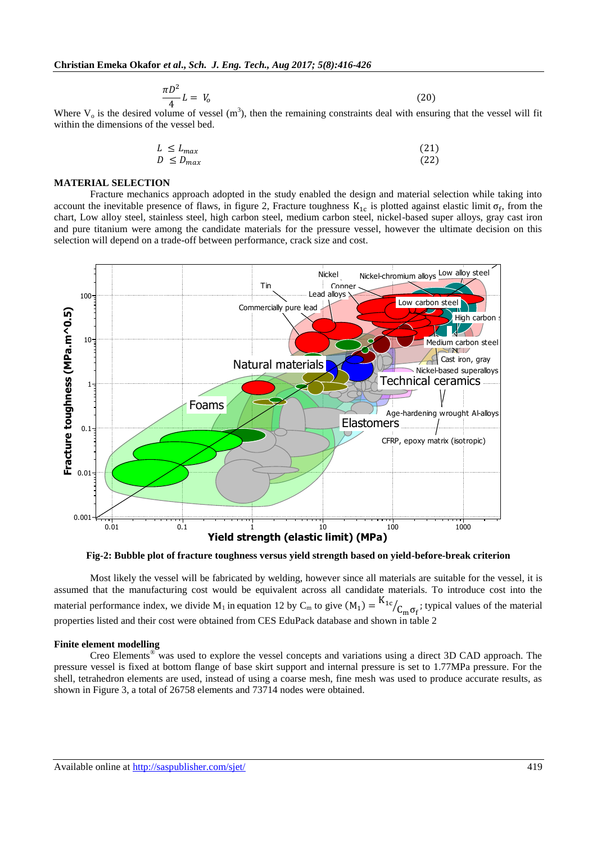$$
\frac{\pi D^2}{4}L = V_o \tag{20}
$$

Where  $V_0$  is the desired volume of vessel (m<sup>3</sup>), then the remaining constraints deal with ensuring that the vessel will fit within the dimensions of the vessel bed.

| $L \leq L_{max}$ | (21) |
|------------------|------|
| $D \leq D_{max}$ | (22) |

## **MATERIAL SELECTION**

Fracture mechanics approach adopted in the study enabled the design and material selection while taking into account the inevitable presence of flaws, in figure 2, Fracture toughness  $K_{1c}$  is plotted against elastic limit  $\sigma_f$ , from the chart, Low alloy steel, stainless steel, high carbon steel, medium carbon steel, nickel-based super alloys, gray cast iron and pure titanium were among the candidate materials for the pressure vessel, however the ultimate decision on this selection will depend on a trade-off between performance, crack size and cost.



**Fig-2: Bubble plot of fracture toughness versus yield strength based on yield-before-break criterion**

Most likely the vessel will be fabricated by welding, however since all materials are suitable for the vessel, it is assumed that the manufacturing cost would be equivalent across all candidate materials. To introduce cost into the material performance index, we divide  $M_1$  in equation 12 by  $C_m$  to give  $(M_1) = {K}$  $\sqrt{C_{\rm m} \sigma_{\rm f}}$ ; typical values of the material properties listed and their cost were obtained from CES EduPack database and shown in table 2

#### **Finite element modelling**

Creo Elements® was used to explore the vessel concepts and variations using a direct 3D CAD approach. The pressure vessel is fixed at bottom flange of base skirt support and internal pressure is set to 1.77MPa pressure. For the shell, tetrahedron elements are used, instead of using a coarse mesh, fine mesh was used to produce accurate results, as shown in Figure 3, a total of 26758 elements and 73714 nodes were obtained.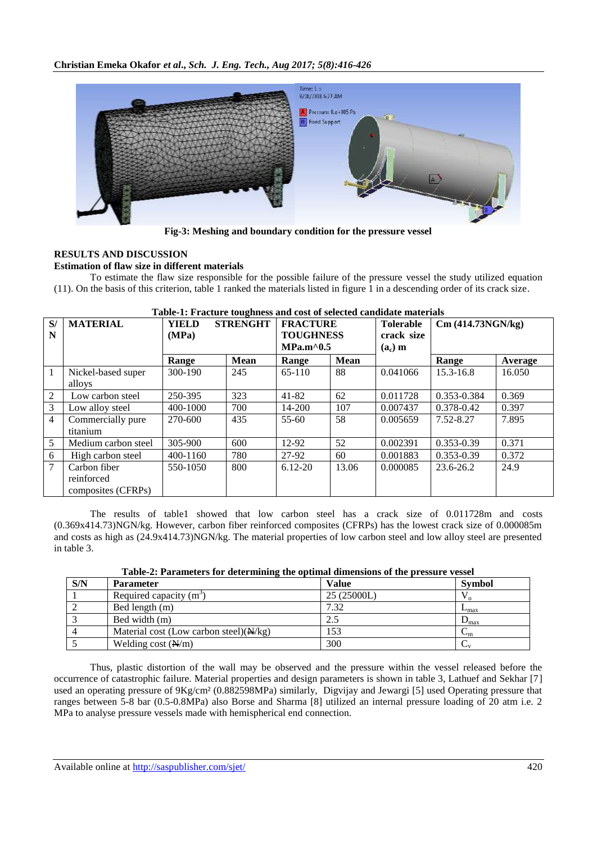

**Fig-3: Meshing and boundary condition for the pressure vessel**

# **RESULTS AND DISCUSSION**

## **Estimation of flaw size in different materials**

To estimate the flaw size responsible for the possible failure of the pressure vessel the study utilized equation (11). On the basis of this criterion, table 1 ranked the materials listed in figure 1 in a descending order of its crack size.

| S/<br>N        | <b>MATERIAL</b>                                  | <b>STRENGHT</b><br><b>FRACTURE</b><br><b>YIELD</b><br>(MPa)<br><b>TOUGHNESS</b><br>$MPa.m^0.5$<br><b>Mean</b><br><b>Mean</b><br>Range<br>Range |     |             |       | <b>Tolerable</b><br>crack size | Cm(414.73NGN/kg) |        |  |
|----------------|--------------------------------------------------|------------------------------------------------------------------------------------------------------------------------------------------------|-----|-------------|-------|--------------------------------|------------------|--------|--|
|                |                                                  |                                                                                                                                                |     | $(a_c)$ m   | Range | Average                        |                  |        |  |
|                | Nickel-based super<br>alloys                     | 300-190                                                                                                                                        | 245 | 65-110      | 88    | 0.041066                       | 15.3-16.8        | 16.050 |  |
| 2              | Low carbon steel                                 | 250-395                                                                                                                                        | 323 | $41 - 82$   | 62    | 0.011728                       | 0.353-0.384      | 0.369  |  |
| 3              | Low alloy steel                                  | 400-1000                                                                                                                                       | 700 | 14-200      | 107   | 0.007437                       | 0.378-0.42       | 0.397  |  |
| $\overline{4}$ | Commercially pure<br>titanium                    | 270-600                                                                                                                                        | 435 | 55-60       | 58    | 0.005659                       | 7.52-8.27        | 7.895  |  |
| 5              | Medium carbon steel                              | 305-900                                                                                                                                        | 600 | 12-92       | 52    | 0.002391                       | $0.353 - 0.39$   | 0.371  |  |
| 6              | High carbon steel                                | 400-1160                                                                                                                                       | 780 | 27-92       | 60    | 0.001883                       | $0.353 - 0.39$   | 0.372  |  |
| 7              | Carbon fiber<br>reinforced<br>composites (CFRPs) | 550-1050                                                                                                                                       | 800 | $6.12 - 20$ | 13.06 | 0.000085                       | $23.6 - 26.2$    | 24.9   |  |

#### **Table-1: Fracture toughness and cost of selected candidate materials**

The results of table1 showed that low carbon steel has a crack size of 0.011728m and costs (0.369x414.73)NGN/kg. However, carbon fiber reinforced composites (CFRPs) has the lowest crack size of 0.000085m and costs as high as (24.9x414.73)NGN/kg. The material properties of low carbon steel and low alloy steel are presented in table 3.

| S/N | <b>Parameter</b>                                  | <b>Value</b> | <b>Symbol</b>               |
|-----|---------------------------------------------------|--------------|-----------------------------|
|     | Required capacity $(m^3)$                         | 25 (25000L)  |                             |
|     | Bed length (m)                                    | 7.32         | $L_{\rm max}$               |
|     | Bed width (m)                                     | 2.5          | $D_{\text{max}}$            |
|     | Material cost (Low carbon steel) $(\frac{N}{kg})$ | 153          | $\mathsf{w}_{\mathfrak{m}}$ |
|     | Welding cost $(\frac{N}{m})$                      | 300          | Ψ                           |

**Table-2: Parameters for determining the optimal dimensions of the pressure vessel**

Thus, plastic distortion of the wall may be observed and the pressure within the vessel released before the occurrence of catastrophic failure. Material properties and design parameters is shown in table 3, Lathuef and Sekhar [7] used an operating pressure of 9Kg/cm² (0.882598MPa) similarly, Digvijay and Jewargi [5] used Operating pressure that ranges between 5-8 bar (0.5-0.8MPa) also Borse and Sharma [8] utilized an internal pressure loading of 20 atm i.e. 2 MPa to analyse pressure vessels made with hemispherical end connection.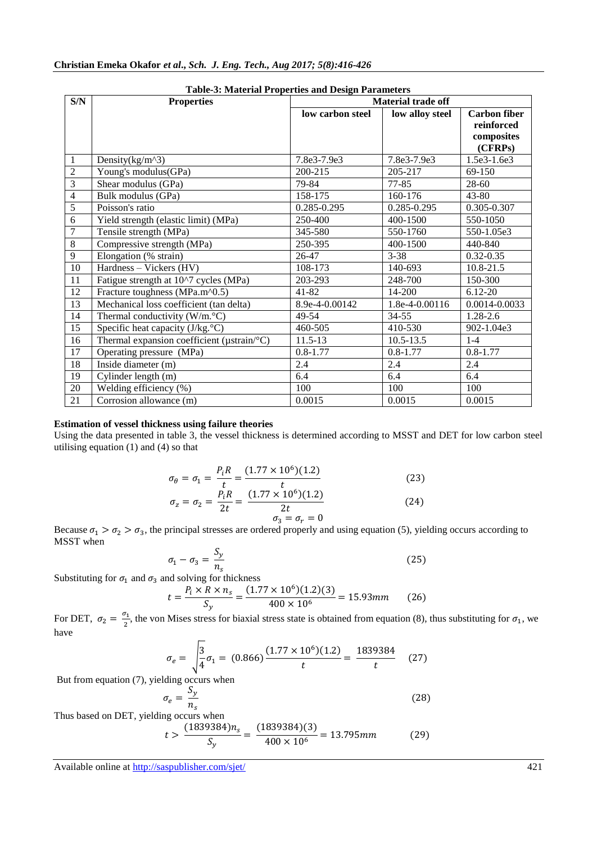|                | Table-3. Material I Toperties and Design I arameters |                  |                           |                     |  |  |  |  |  |  |  |
|----------------|------------------------------------------------------|------------------|---------------------------|---------------------|--|--|--|--|--|--|--|
| S/N            | <b>Properties</b>                                    |                  | <b>Material trade off</b> |                     |  |  |  |  |  |  |  |
|                |                                                      | low carbon steel | low alloy steel           | <b>Carbon fiber</b> |  |  |  |  |  |  |  |
|                |                                                      |                  |                           | reinforced          |  |  |  |  |  |  |  |
|                |                                                      |                  |                           | composites          |  |  |  |  |  |  |  |
|                |                                                      |                  |                           | (CFRPs)             |  |  |  |  |  |  |  |
| 1              | Density $(kg/m^3)$                                   | 7.8e3-7.9e3      | 7.8e3-7.9e3               | 1.5e3-1.6e3         |  |  |  |  |  |  |  |
| $\overline{2}$ | Young's modulus(GPa)                                 | 200-215          | 205-217                   | 69-150              |  |  |  |  |  |  |  |
| $\overline{3}$ | Shear modulus (GPa)                                  | 79-84            | 77-85                     | $28-60$             |  |  |  |  |  |  |  |
| $\overline{4}$ | Bulk modulus (GPa)                                   | 158-175          | 160-176                   | $43 - 80$           |  |  |  |  |  |  |  |
| $\overline{5}$ | Poisson's ratio                                      | 0.285-0.295      | 0.285-0.295               | 0.305-0.307         |  |  |  |  |  |  |  |
| 6              | Yield strength (elastic limit) (MPa)                 | 250-400          | 400-1500                  | 550-1050            |  |  |  |  |  |  |  |
| $\overline{7}$ | Tensile strength (MPa)                               | 345-580          | 550-1760                  | 550-1.05e3          |  |  |  |  |  |  |  |
| 8              | Compressive strength (MPa)                           | 250-395          | 400-1500                  | 440-840             |  |  |  |  |  |  |  |
| 9              | Elongation (% strain)                                | 26-47            | $3 - 38$                  | $0.32 - 0.35$       |  |  |  |  |  |  |  |
| 10             | Hardness – Vickers (HV)                              | 108-173          | 140-693                   | $10.8 - 21.5$       |  |  |  |  |  |  |  |
| 11             | Fatigue strength at 10^7 cycles (MPa)                | 203-293          | 248-700                   | 150-300             |  |  |  |  |  |  |  |
| 12             | Fracture toughness (MPa.m^0.5)                       | 41-82            | 14-200                    | $6.12 - 20$         |  |  |  |  |  |  |  |
| 13             | Mechanical loss coefficient (tan delta)              | 8.9e-4-0.00142   | 1.8e-4-0.00116            | 0.0014-0.0033       |  |  |  |  |  |  |  |
| 14             | Thermal conductivity $(W/m. °C)$                     | 49-54            | $34 - 55$                 | 1.28-2.6            |  |  |  |  |  |  |  |
| 15             | Specific heat capacity $(J/kg.^{\circ}C)$            | 460-505          | 410-530                   | 902-1.04e3          |  |  |  |  |  |  |  |
| 16             | Thermal expansion coefficient (µstrain/°C)           | $11.5 - 13$      | $10.5 - 13.5$             | $1 - 4$             |  |  |  |  |  |  |  |
| 17             | Operating pressure (MPa)                             | $0.8 - 1.77$     | $0.8 - 1.77$              | $0.8 - 1.77$        |  |  |  |  |  |  |  |
| 18             | Inside diameter (m)                                  | 2.4              | 2.4                       | 2.4                 |  |  |  |  |  |  |  |
| 19             | Cylinder length (m)                                  | 6.4              | 6.4                       | 6.4                 |  |  |  |  |  |  |  |
| 20             | Welding efficiency (%)                               | 100              | 100                       | 100                 |  |  |  |  |  |  |  |
| 21             | Corrosion allowance (m)                              | 0.0015           | 0.0015                    | 0.0015              |  |  |  |  |  |  |  |

**Table-3: Material Properties and Design Parameters**

#### **Estimation of vessel thickness using failure theories**

Using the data presented in table 3, the vessel thickness is determined according to MSST and DET for low carbon steel utilising equation (1) and (4) so that

$$
\sigma_{\theta} = \sigma_1 = \frac{P_i R}{t} = \frac{(1.77 \times 10^6)(1.2)}{t}
$$
\n
$$
\sigma_z = \sigma_2 = \frac{P_i R}{2t} = \frac{(1.77 \times 10^6)(1.2)}{2t}
$$
\n(23)

$$
\sigma_3 = \sigma_r = 0
$$
 Because  $\sigma_1 > \sigma_2 > \sigma_3$ , the principal stresses are ordered properly and using equation (5), yielding occurs according to MSST when

$$
\sigma_1 - \sigma_3 = \frac{S_y}{n_s} \tag{25}
$$

Substituting for  $\sigma_1$  and  $\sigma_3$  and solving for thickness

$$
t = \frac{P_i \times R \times n_s}{S_y} = \frac{(1.77 \times 10^6)(1.2)(3)}{400 \times 10^6} = 15.93 \, mm \tag{26}
$$

For DET,  $\sigma_2 = \frac{\sigma}{2}$  $\frac{\sqrt{1}}{2}$ , the von Mises stress for biaxial stress state is obtained from equation (8), thus substituting for  $\sigma_1$ , we have

$$
\sigma_e = \sqrt{\frac{3}{4}} \sigma_1 = (0.866) \frac{(1.77 \times 10^6)(1.2)}{t} = \frac{1839384}{t} \quad (27)
$$

But from equation (7), yielding occurs when

$$
\sigma_e = \frac{S_y}{n_s} \tag{28}
$$

Thus based on DET, yielding occurs when

$$
t > \frac{(1839384)n_s}{S_y} = \frac{(1839384)(3)}{400 \times 10^6} = 13.795 \, mm \tag{29}
$$

Available online at<http://saspublisher.com/sjet/> 421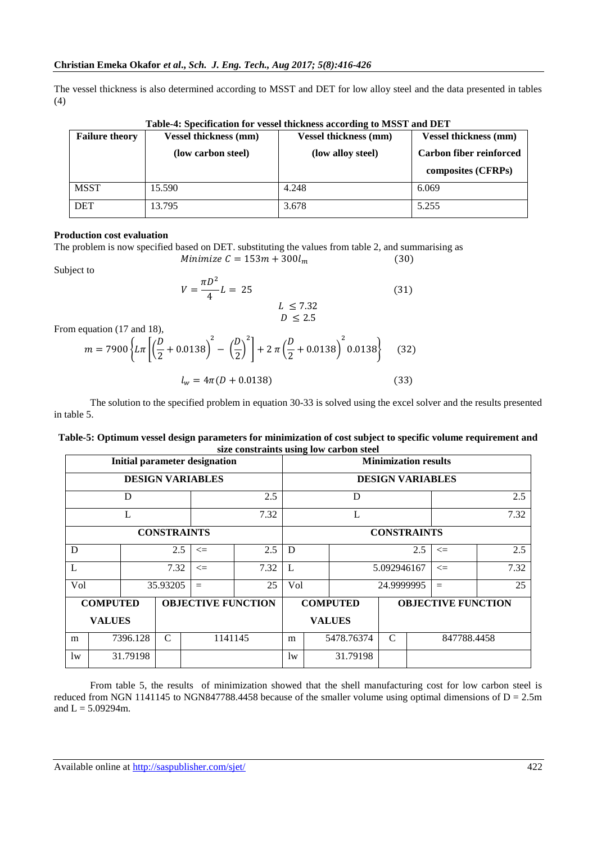The vessel thickness is also determined according to MSST and DET for low alloy steel and the data presented in tables (4)

| <b>Failure theory</b> | <b>Vessel thickness (mm)</b> | <b>Vessel thickness (mm)</b> |                         |  |  |
|-----------------------|------------------------------|------------------------------|-------------------------|--|--|
|                       | (low carbon steel)           | (low alloy steel)            | Carbon fiber reinforced |  |  |
|                       |                              |                              | composites (CFRPs)      |  |  |
| <b>MSST</b>           | 15.590                       | 4.248                        | 6.069                   |  |  |
| <b>DET</b>            | 13.795                       | 3.678                        | 5.255                   |  |  |

**Table-4: Specification for vessel thickness according to MSST and DET**

## **Production cost evaluation**

The problem is now specified based on DET. substituting the values from table 2, and summarising as Minimize  $C = 153m + 300l_m$  $(30)$ 

Subject to

$$
V = \frac{\pi D^2}{4} L = 25
$$
\n
$$
L \le 7.32
$$
\n(31)

 $D \leq 2.5$ 

From equation 
$$
(17 \text{ and } 18)
$$
,

$$
m = 7900 \left\{ L \pi \left[ \left( \frac{D}{2} + 0.0138 \right)^2 - \left( \frac{D}{2} \right)^2 \right] + 2 \pi \left( \frac{D}{2} + 0.0138 \right)^2 0.0138 \right\}
$$
 (32)  

$$
l_w = 4 \pi (D + 0.0138)
$$
 (33)

The solution to the specified problem in equation 30-33 is solved using the excel solver and the results presented in table 5.

#### **Table-5: Optimum vessel design parameters for minimization of cost subject to specific volume requirement and size constraints using low carbon steel**

|                         | <b>Initial parameter designation</b> |          |                    |                           |               |                    |  | o<br><b>Minimization results</b> |                              |  |        |      |  |
|-------------------------|--------------------------------------|----------|--------------------|---------------------------|---------------|--------------------|--|----------------------------------|------------------------------|--|--------|------|--|
| <b>DESIGN VARIABLES</b> |                                      |          |                    |                           |               |                    |  |                                  | <b>DESIGN VARIABLES</b>      |  |        |      |  |
|                         |                                      | D        |                    |                           | 2.5           |                    |  | D                                |                              |  |        | 2.5  |  |
|                         |                                      | L        |                    |                           | 7.32          |                    |  | L                                |                              |  | 7.32   |      |  |
|                         |                                      |          | <b>CONSTRAINTS</b> |                           |               | <b>CONSTRAINTS</b> |  |                                  |                              |  |        |      |  |
| D                       |                                      |          | 2.5                | $\leq$                    | 2.5           | D                  |  |                                  | 2.5                          |  | $\leq$ | 2.5  |  |
| L                       |                                      |          | 7.32               | $\leq$                    | 7.32          | L                  |  |                                  | 5.092946167                  |  | $\leq$ | 7.32 |  |
| Vol                     |                                      |          | 35.93205           | $=$                       | 25            | Vol                |  |                                  | 24.9999995                   |  | $=$    | 25   |  |
|                         | <b>COMPUTED</b>                      |          |                    | <b>OBJECTIVE FUNCTION</b> |               | <b>COMPUTED</b>    |  |                                  | <b>OBJECTIVE FUNCTION</b>    |  |        |      |  |
| <b>VALUES</b>           |                                      |          |                    |                           | <b>VALUES</b> |                    |  |                                  |                              |  |        |      |  |
| m                       |                                      | 7396.128 | $\mathcal{C}$      | 1141145                   |               | m                  |  | 5478.76374                       | $\mathcal{C}$<br>847788.4458 |  |        |      |  |
| lw                      |                                      | 31.79198 |                    |                           |               | lw                 |  | 31.79198                         |                              |  |        |      |  |

From table 5, the results of minimization showed that the shell manufacturing cost for low carbon steel is reduced from NGN 1141145 to NGN847788.4458 because of the smaller volume using optimal dimensions of  $D = 2.5$ m and  $L = 5.09294$ m.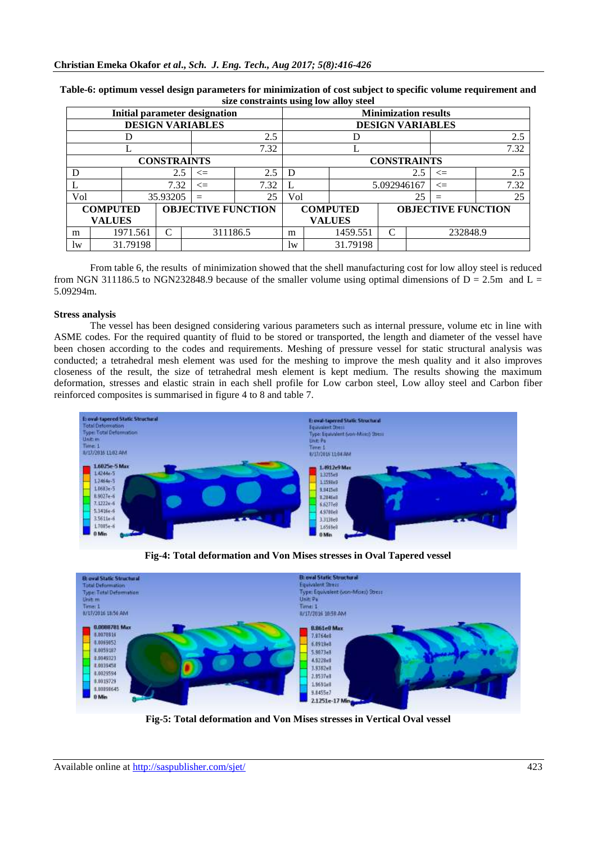|                         | <b>Initial parameter designation</b> |          |          |                           |               |                                              |  |          | <b>Minimization results</b> |          |        |      |
|-------------------------|--------------------------------------|----------|----------|---------------------------|---------------|----------------------------------------------|--|----------|-----------------------------|----------|--------|------|
| <b>DESIGN VARIABLES</b> |                                      |          |          |                           |               | <b>DESIGN VARIABLES</b>                      |  |          |                             |          |        |      |
| 2.5                     |                                      |          |          |                           | D             |                                              |  | 2.5      |                             |          |        |      |
|                         |                                      |          |          |                           | 7.32          |                                              |  |          |                             |          | 7.32   |      |
| <b>CONSTRAINTS</b>      |                                      |          |          |                           |               |                                              |  |          | <b>CONSTRAINTS</b>          |          |        |      |
|                         |                                      |          | 2.5      | $\leq$                    | 2.5           | D                                            |  |          |                             | 2.5      | $\leq$ | 2.5  |
|                         |                                      |          | 7.32     | $\leq$                    | 7.32          |                                              |  |          | 5.092946167                 |          | $\leq$ | 7.32 |
| Vol                     |                                      |          | 35.93205 |                           | 25            | Vol                                          |  |          |                             | 25       | $=$    | 25   |
|                         | <b>COMPUTED</b>                      |          |          | <b>OBJECTIVE FUNCTION</b> |               | <b>COMPUTED</b><br><b>OBJECTIVE FUNCTION</b> |  |          |                             |          |        |      |
| <b>VALUES</b>           |                                      |          |          |                           | <b>VALUES</b> |                                              |  |          |                             |          |        |      |
| m                       |                                      | 1971.561 | C        | 311186.5                  |               | m                                            |  | 1459.551 | C                           | 232848.9 |        |      |
| lw                      |                                      | 31.79198 |          |                           |               | lw                                           |  | 31.79198 |                             |          |        |      |

**Table-6: optimum vessel design parameters for minimization of cost subject to specific volume requirement and size constraints using low alloy steel**

From table 6, the results of minimization showed that the shell manufacturing cost for low alloy steel is reduced from NGN 311186.5 to NGN232848.9 because of the smaller volume using optimal dimensions of  $D = 2.5m$  and  $L =$ 5.09294m.

## **Stress analysis**

The vessel has been designed considering various parameters such as internal pressure, volume etc in line with ASME codes. For the required quantity of fluid to be stored or transported, the length and diameter of the vessel have been chosen according to the codes and requirements. Meshing of pressure vessel for static structural analysis was conducted; a tetrahedral mesh element was used for the meshing to improve the mesh quality and it also improves closeness of the result, the size of tetrahedral mesh element is kept medium. The results showing the maximum deformation, stresses and elastic strain in each shell profile for Low carbon steel, Low alloy steel and Carbon fiber reinforced composites is summarised in figure 4 to 8 and table 7.



**Fig-4: Total deformation and Von Mises stresses in Oval Tapered vessel**



**Fig-5: Total deformation and Von Mises stresses in Vertical Oval vessel**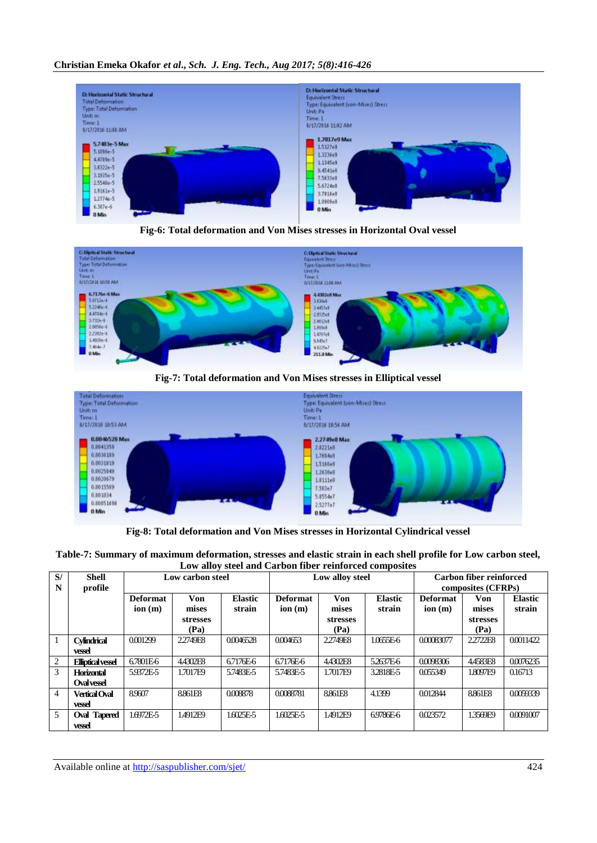# **Christian Emeka Okafor** *et al***.,** *Sch. J. Eng. Tech., Aug 2017; 5(8):416-426*







**Fig-7: Total deformation and Von Mises stresses in Elliptical vessel**



**Fig-8: Total deformation and Von Mises stresses in Horizontal Cylindrical vessel**

| Table-7: Summary of maximum deformation, stresses and elastic strain in each shell profile for Low carbon steel, |  |
|------------------------------------------------------------------------------------------------------------------|--|
| Low alloy steel and Carbon fiber reinforced composites                                                           |  |

| S/<br>N        | <b>Shell</b><br>profile          |                           | Low carbon steel                        |                          |                           | Low alloy steel                         |                          | <b>Carbon fiber reinforced</b><br>composites (CFRPs) |                                         |                          |  |
|----------------|----------------------------------|---------------------------|-----------------------------------------|--------------------------|---------------------------|-----------------------------------------|--------------------------|------------------------------------------------------|-----------------------------------------|--------------------------|--|
|                |                                  | <b>Deformat</b><br>ion(m) | Von<br>mises<br><b>stresses</b><br>(Pa) | <b>Elastic</b><br>strain | <b>Deformat</b><br>ion(m) | Von<br>mises<br><b>stresses</b><br>(Pa) | <b>Elastic</b><br>strain | <b>Deformat</b><br>ion(m)                            | Von<br>mises<br><b>stresses</b><br>(Pa) | <b>Elastic</b><br>strain |  |
| -1             | <b>Cylindrical</b><br>vessel     | 0.001299                  | 2.2749F8                                | 0.0046528                | 0.004653                  | 2.2749F8                                | 1.0655E-6                | 0.00083077                                           | 2.2722F8                                | 0.0011422                |  |
| 2              | <b>Eliptical vessel</b>          | 6.7801E-6                 | 4.4302E8                                | 6.7176E-6                | 6.7176E-6                 | 4.4302E8                                | 52637E-6                 | 0.0098306                                            | 4.4583E8                                | 0.0076235                |  |
| 3              | Horizontal<br><b>Oval vessel</b> | 5.9372E-5                 | 1.7017E9                                | 5.7483E-5                | 5.7483E-5                 | 1.7017E9                                | 32818E-5                 | 0.055349                                             | 1.8097F9                                | 0.16713                  |  |
| $\overline{4}$ | <b>Vertical Oval</b><br>vessel   | 8.9607                    | 8.861F8                                 | 0.008878                 | 0.0088781                 | 8.861E8                                 | 4.1399                   | 0.012844                                             | 8.861E8                                 | 0.0059339                |  |
| 5              | <b>Oval Tapered</b><br>vessel    | 1.6972E-5                 | 1.4912E9                                | $1.6025E - 5$            | 1.6025E-5                 | 1.4912E9                                | 69786E-6                 | 0.023572                                             | 13569E9                                 | 0.0091007                |  |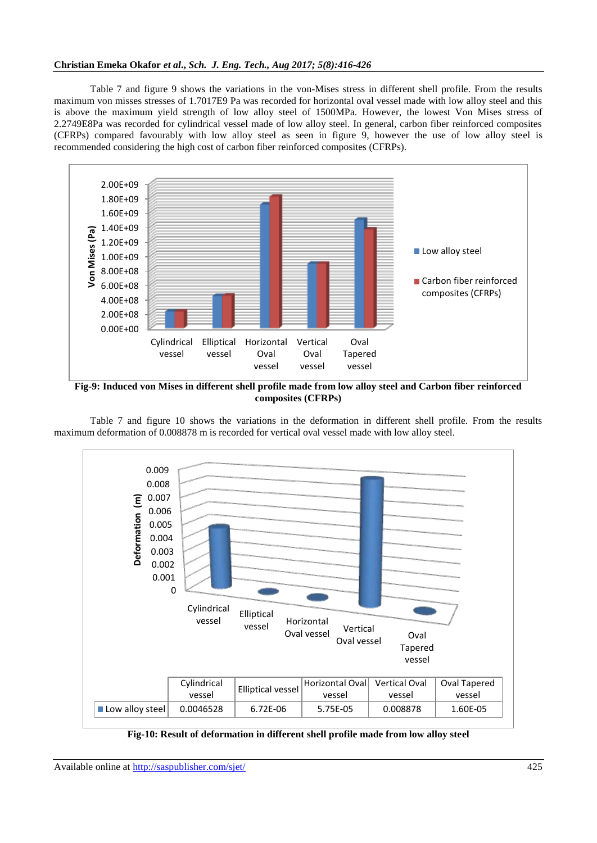Table 7 and figure 9 shows the variations in the von-Mises stress in different shell profile. From the results maximum von misses stresses of 1.7017E9 Pa was recorded for horizontal oval vessel made with low alloy steel and this is above the maximum yield strength of low alloy steel of 1500MPa. However, the lowest Von Mises stress of 2.2749E8Pa was recorded for cylindrical vessel made of low alloy steel. In general, carbon fiber reinforced composites (CFRPs) compared favourably with low alloy steel as seen in figure 9, however the use of low alloy steel is recommended considering the high cost of carbon fiber reinforced composites (CFRPs).



**Fig-9: Induced von Mises in different shell profile made from low alloy steel and Carbon fiber reinforced composites (CFRPs)**

Table 7 and figure 10 shows the variations in the deformation in different shell profile. From the results maximum deformation of 0.008878 m is recorded for vertical oval vessel made with low alloy steel.



**Fig-10: Result of deformation in different shell profile made from low alloy steel**